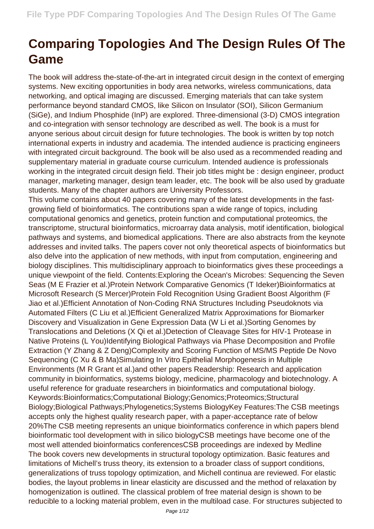## **Comparing Topologies And The Design Rules Of The Game**

The book will address the-state-of-the-art in integrated circuit design in the context of emerging systems. New exciting opportunities in body area networks, wireless communications, data networking, and optical imaging are discussed. Emerging materials that can take system performance beyond standard CMOS, like Silicon on Insulator (SOI), Silicon Germanium (SiGe), and Indium Phosphide (InP) are explored. Three-dimensional (3-D) CMOS integration and co-integration with sensor technology are described as well. The book is a must for anyone serious about circuit design for future technologies. The book is written by top notch international experts in industry and academia. The intended audience is practicing engineers with integrated circuit background. The book will be also used as a recommended reading and supplementary material in graduate course curriculum. Intended audience is professionals working in the integrated circuit design field. Their job titles might be : design engineer, product manager, marketing manager, design team leader, etc. The book will be also used by graduate students. Many of the chapter authors are University Professors.

This volume contains about 40 papers covering many of the latest developments in the fastgrowing field of bioinformatics. The contributions span a wide range of topics, including computational genomics and genetics, protein function and computational proteomics, the transcriptome, structural bioinformatics, microarray data analysis, motif identification, biological pathways and systems, and biomedical applications. There are also abstracts from the keynote addresses and invited talks. The papers cover not only theoretical aspects of bioinformatics but also delve into the application of new methods, with input from computation, engineering and biology disciplines. This multidisciplinary approach to bioinformatics gives these proceedings a unique viewpoint of the field. Contents:Exploring the Ocean's Microbes: Sequencing the Seven Seas (M E Frazier et al.)Protein Network Comparative Genomics (T Ideker)Bioinformatics at Microsoft Research (S Mercer)Protein Fold Recognition Using Gradient Boost Algorithm (F Jiao et al.)Efficient Annotation of Non-Coding RNA Structures Including Pseudoknots via Automated Filters (C Liu et al.)Efficient Generalized Matrix Approximations for Biomarker Discovery and Visualization in Gene Expression Data (W Li et al.)Sorting Genomes by Translocations and Deletions (X Qi et al.)Detection of Cleavage Sites for HIV-1 Protease in Native Proteins (L You)Identifying Biological Pathways via Phase Decomposition and Profile Extraction (Y Zhang & Z Deng)Complexity and Scoring Function of MS/MS Peptide De Novo Sequencing (C Xu & B Ma)Simulating In Vitro Epithelial Morphogenesis in Multiple Environments (M R Grant et al.)and other papers Readership: Research and application community in bioinformatics, systems biology, medicine, pharmacology and biotechnology. A useful reference for graduate researchers in bioinformatics and computational biology. Keywords:Bioinformatics;Computational Biology;Genomics;Proteomics;Structural Biology;Biological Pathways;Phylogenetics;Systems BiologyKey Features:The CSB meetings accepts only the highest quality research paper, with a paper-acceptance rate of below 20%The CSB meeting represents an unique bioinformatics conference in which papers blend bioinformatic tool development with in silico biologyCSB meetings have become one of the most well attended bioinformatics conferencesCSB proceedings are indexed by Medline The book covers new developments in structural topology optimization. Basic features and limitations of Michell's truss theory, its extension to a broader class of support conditions, generalizations of truss topology optimization, and Michell continua are reviewed. For elastic bodies, the layout problems in linear elasticity are discussed and the method of relaxation by homogenization is outlined. The classical problem of free material design is shown to be reducible to a locking material problem, even in the multiload case. For structures subjected to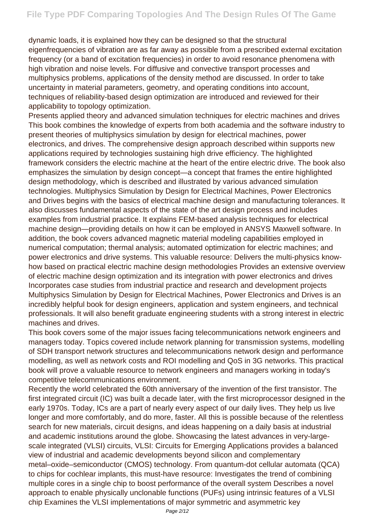dynamic loads, it is explained how they can be designed so that the structural eigenfrequencies of vibration are as far away as possible from a prescribed external excitation frequency (or a band of excitation frequencies) in order to avoid resonance phenomena with high vibration and noise levels. For diffusive and convective transport processes and multiphysics problems, applications of the density method are discussed. In order to take uncertainty in material parameters, geometry, and operating conditions into account, techniques of reliability-based design optimization are introduced and reviewed for their applicability to topology optimization.

Presents applied theory and advanced simulation techniques for electric machines and drives This book combines the knowledge of experts from both academia and the software industry to present theories of multiphysics simulation by design for electrical machines, power electronics, and drives. The comprehensive design approach described within supports new applications required by technologies sustaining high drive efficiency. The highlighted framework considers the electric machine at the heart of the entire electric drive. The book also emphasizes the simulation by design concept—a concept that frames the entire highlighted design methodology, which is described and illustrated by various advanced simulation technologies. Multiphysics Simulation by Design for Electrical Machines, Power Electronics and Drives begins with the basics of electrical machine design and manufacturing tolerances. It also discusses fundamental aspects of the state of the art design process and includes examples from industrial practice. It explains FEM-based analysis techniques for electrical machine design—providing details on how it can be employed in ANSYS Maxwell software. In addition, the book covers advanced magnetic material modeling capabilities employed in numerical computation; thermal analysis; automated optimization for electric machines; and power electronics and drive systems. This valuable resource: Delivers the multi-physics knowhow based on practical electric machine design methodologies Provides an extensive overview of electric machine design optimization and its integration with power electronics and drives Incorporates case studies from industrial practice and research and development projects Multiphysics Simulation by Design for Electrical Machines, Power Electronics and Drives is an incredibly helpful book for design engineers, application and system engineers, and technical professionals. It will also benefit graduate engineering students with a strong interest in electric machines and drives.

This book covers some of the major issues facing telecommunications network engineers and managers today. Topics covered include network planning for transmission systems, modelling of SDH transport network structures and telecommunications network design and performance modelling, as well as network costs and ROI modelling and QoS in 3G networks. This practical book will prove a valuable resource to network engineers and managers working in today's competitive telecommunications environment.

Recently the world celebrated the 60th anniversary of the invention of the first transistor. The first integrated circuit (IC) was built a decade later, with the first microprocessor designed in the early 1970s. Today, ICs are a part of nearly every aspect of our daily lives. They help us live longer and more comfortably, and do more, faster. All this is possible because of the relentless search for new materials, circuit designs, and ideas happening on a daily basis at industrial and academic institutions around the globe. Showcasing the latest advances in very-largescale integrated (VLSI) circuits, VLSI: Circuits for Emerging Applications provides a balanced view of industrial and academic developments beyond silicon and complementary metal–oxide–semiconductor (CMOS) technology. From quantum-dot cellular automata (QCA) to chips for cochlear implants, this must-have resource: Investigates the trend of combining multiple cores in a single chip to boost performance of the overall system Describes a novel approach to enable physically unclonable functions (PUFs) using intrinsic features of a VLSI chip Examines the VLSI implementations of major symmetric and asymmetric key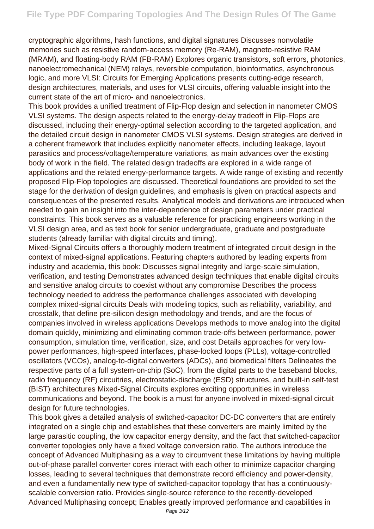cryptographic algorithms, hash functions, and digital signatures Discusses nonvolatile memories such as resistive random-access memory (Re-RAM), magneto-resistive RAM (MRAM), and floating-body RAM (FB-RAM) Explores organic transistors, soft errors, photonics, nanoelectromechanical (NEM) relays, reversible computation, bioinformatics, asynchronous logic, and more VLSI: Circuits for Emerging Applications presents cutting-edge research, design architectures, materials, and uses for VLSI circuits, offering valuable insight into the current state of the art of micro- and nanoelectronics.

This book provides a unified treatment of Flip-Flop design and selection in nanometer CMOS VLSI systems. The design aspects related to the energy-delay tradeoff in Flip-Flops are discussed, including their energy-optimal selection according to the targeted application, and the detailed circuit design in nanometer CMOS VLSI systems. Design strategies are derived in a coherent framework that includes explicitly nanometer effects, including leakage, layout parasitics and process/voltage/temperature variations, as main advances over the existing body of work in the field. The related design tradeoffs are explored in a wide range of applications and the related energy-performance targets. A wide range of existing and recently proposed Flip-Flop topologies are discussed. Theoretical foundations are provided to set the stage for the derivation of design guidelines, and emphasis is given on practical aspects and consequences of the presented results. Analytical models and derivations are introduced when needed to gain an insight into the inter-dependence of design parameters under practical constraints. This book serves as a valuable reference for practicing engineers working in the VLSI design area, and as text book for senior undergraduate, graduate and postgraduate students (already familiar with digital circuits and timing).

Mixed-Signal Circuits offers a thoroughly modern treatment of integrated circuit design in the context of mixed-signal applications. Featuring chapters authored by leading experts from industry and academia, this book: Discusses signal integrity and large-scale simulation, verification, and testing Demonstrates advanced design techniques that enable digital circuits and sensitive analog circuits to coexist without any compromise Describes the process technology needed to address the performance challenges associated with developing complex mixed-signal circuits Deals with modeling topics, such as reliability, variability, and crosstalk, that define pre-silicon design methodology and trends, and are the focus of companies involved in wireless applications Develops methods to move analog into the digital domain quickly, minimizing and eliminating common trade-offs between performance, power consumption, simulation time, verification, size, and cost Details approaches for very lowpower performances, high-speed interfaces, phase-locked loops (PLLs), voltage-controlled oscillators (VCOs), analog-to-digital converters (ADCs), and biomedical filters Delineates the respective parts of a full system-on-chip (SoC), from the digital parts to the baseband blocks, radio frequency (RF) circuitries, electrostatic-discharge (ESD) structures, and built-in self-test (BIST) architectures Mixed-Signal Circuits explores exciting opportunities in wireless communications and beyond. The book is a must for anyone involved in mixed-signal circuit design for future technologies.

This book gives a detailed analysis of switched-capacitor DC-DC converters that are entirely integrated on a single chip and establishes that these converters are mainly limited by the large parasitic coupling, the low capacitor energy density, and the fact that switched-capacitor converter topologies only have a fixed voltage conversion ratio. The authors introduce the concept of Advanced Multiphasing as a way to circumvent these limitations by having multiple out-of-phase parallel converter cores interact with each other to minimize capacitor charging losses, leading to several techniques that demonstrate record efficiency and power-density, and even a fundamentally new type of switched-capacitor topology that has a continuouslyscalable conversion ratio. Provides single-source reference to the recently-developed Advanced Multiphasing concept; Enables greatly improved performance and capabilities in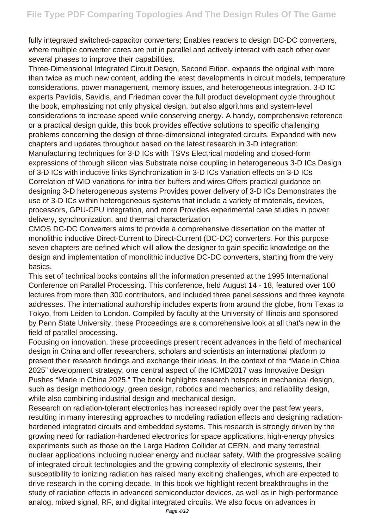fully integrated switched-capacitor converters; Enables readers to design DC-DC converters, where multiple converter cores are put in parallel and actively interact with each other over several phases to improve their capabilities.

Three-Dimensional Integrated Circuit Design, Second Eition, expands the original with more than twice as much new content, adding the latest developments in circuit models, temperature considerations, power management, memory issues, and heterogeneous integration. 3-D IC experts Pavlidis, Savidis, and Friedman cover the full product development cycle throughout the book, emphasizing not only physical design, but also algorithms and system-level considerations to increase speed while conserving energy. A handy, comprehensive reference or a practical design guide, this book provides effective solutions to specific challenging problems concerning the design of three-dimensional integrated circuits. Expanded with new chapters and updates throughout based on the latest research in 3-D integration: Manufacturing techniques for 3-D ICs with TSVs Electrical modeling and closed-form expressions of through silicon vias Substrate noise coupling in heterogeneous 3-D ICs Design of 3-D ICs with inductive links Synchronization in 3-D ICs Variation effects on 3-D ICs Correlation of WID variations for intra-tier buffers and wires Offers practical guidance on designing 3-D heterogeneous systems Provides power delivery of 3-D ICs Demonstrates the use of 3-D ICs within heterogeneous systems that include a variety of materials, devices, processors, GPU-CPU integration, and more Provides experimental case studies in power delivery, synchronization, and thermal characterization

CMOS DC-DC Converters aims to provide a comprehensive dissertation on the matter of monolithic inductive Direct-Current to Direct-Current (DC-DC) converters. For this purpose seven chapters are defined which will allow the designer to gain specific knowledge on the design and implementation of monolithic inductive DC-DC converters, starting from the very basics.

This set of technical books contains all the information presented at the 1995 International Conference on Parallel Processing. This conference, held August 14 - 18, featured over 100 lectures from more than 300 contributors, and included three panel sessions and three keynote addresses. The international authorship includes experts from around the globe, from Texas to Tokyo, from Leiden to London. Compiled by faculty at the University of Illinois and sponsored by Penn State University, these Proceedings are a comprehensive look at all that's new in the field of parallel processing.

Focusing on innovation, these proceedings present recent advances in the field of mechanical design in China and offer researchers, scholars and scientists an international platform to present their research findings and exchange their ideas. In the context of the "Made in China 2025" development strategy, one central aspect of the ICMD2017 was Innovative Design Pushes "Made in China 2025." The book highlights research hotspots in mechanical design, such as design methodology, green design, robotics and mechanics, and reliability design, while also combining industrial design and mechanical design.

Research on radiation-tolerant electronics has increased rapidly over the past few years, resulting in many interesting approaches to modeling radiation effects and designing radiationhardened integrated circuits and embedded systems. This research is strongly driven by the growing need for radiation-hardened electronics for space applications, high-energy physics experiments such as those on the Large Hadron Collider at CERN, and many terrestrial nuclear applications including nuclear energy and nuclear safety. With the progressive scaling of integrated circuit technologies and the growing complexity of electronic systems, their susceptibility to ionizing radiation has raised many exciting challenges, which are expected to drive research in the coming decade. In this book we highlight recent breakthroughs in the study of radiation effects in advanced semiconductor devices, as well as in high-performance analog, mixed signal, RF, and digital integrated circuits. We also focus on advances in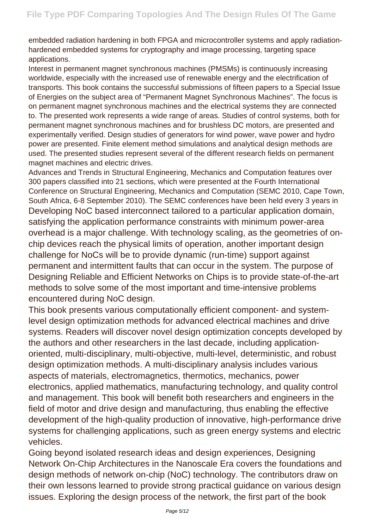embedded radiation hardening in both FPGA and microcontroller systems and apply radiationhardened embedded systems for cryptography and image processing, targeting space applications.

Interest in permanent magnet synchronous machines (PMSMs) is continuously increasing worldwide, especially with the increased use of renewable energy and the electrification of transports. This book contains the successful submissions of fifteen papers to a Special Issue of Energies on the subject area of "Permanent Magnet Synchronous Machines". The focus is on permanent magnet synchronous machines and the electrical systems they are connected to. The presented work represents a wide range of areas. Studies of control systems, both for permanent magnet synchronous machines and for brushless DC motors, are presented and experimentally verified. Design studies of generators for wind power, wave power and hydro power are presented. Finite element method simulations and analytical design methods are used. The presented studies represent several of the different research fields on permanent magnet machines and electric drives.

Advances and Trends in Structural Engineering, Mechanics and Computation features over 300 papers classified into 21 sections, which were presented at the Fourth International Conference on Structural Engineering, Mechanics and Computation (SEMC 2010, Cape Town, South Africa, 6-8 September 2010). The SEMC conferences have been held every 3 years in Developing NoC based interconnect tailored to a particular application domain, satisfying the application performance constraints with minimum power-area overhead is a major challenge. With technology scaling, as the geometries of onchip devices reach the physical limits of operation, another important design challenge for NoCs will be to provide dynamic (run-time) support against permanent and intermittent faults that can occur in the system. The purpose of Designing Reliable and Efficient Networks on Chips is to provide state-of-the-art methods to solve some of the most important and time-intensive problems encountered during NoC design.

This book presents various computationally efficient component- and systemlevel design optimization methods for advanced electrical machines and drive systems. Readers will discover novel design optimization concepts developed by the authors and other researchers in the last decade, including applicationoriented, multi-disciplinary, multi-objective, multi-level, deterministic, and robust design optimization methods. A multi-disciplinary analysis includes various aspects of materials, electromagnetics, thermotics, mechanics, power electronics, applied mathematics, manufacturing technology, and quality control and management. This book will benefit both researchers and engineers in the field of motor and drive design and manufacturing, thus enabling the effective development of the high-quality production of innovative, high-performance drive systems for challenging applications, such as green energy systems and electric vehicles.

Going beyond isolated research ideas and design experiences, Designing Network On-Chip Architectures in the Nanoscale Era covers the foundations and design methods of network on-chip (NoC) technology. The contributors draw on their own lessons learned to provide strong practical guidance on various design issues. Exploring the design process of the network, the first part of the book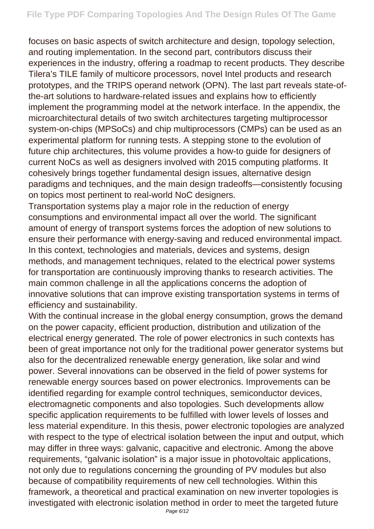focuses on basic aspects of switch architecture and design, topology selection, and routing implementation. In the second part, contributors discuss their experiences in the industry, offering a roadmap to recent products. They describe Tilera's TILE family of multicore processors, novel Intel products and research prototypes, and the TRIPS operand network (OPN). The last part reveals state-ofthe-art solutions to hardware-related issues and explains how to efficiently implement the programming model at the network interface. In the appendix, the microarchitectural details of two switch architectures targeting multiprocessor system-on-chips (MPSoCs) and chip multiprocessors (CMPs) can be used as an experimental platform for running tests. A stepping stone to the evolution of future chip architectures, this volume provides a how-to guide for designers of current NoCs as well as designers involved with 2015 computing platforms. It cohesively brings together fundamental design issues, alternative design paradigms and techniques, and the main design tradeoffs—consistently focusing on topics most pertinent to real-world NoC designers.

Transportation systems play a major role in the reduction of energy consumptions and environmental impact all over the world. The significant amount of energy of transport systems forces the adoption of new solutions to ensure their performance with energy-saving and reduced environmental impact. In this context, technologies and materials, devices and systems, design methods, and management techniques, related to the electrical power systems for transportation are continuously improving thanks to research activities. The main common challenge in all the applications concerns the adoption of innovative solutions that can improve existing transportation systems in terms of efficiency and sustainability.

With the continual increase in the global energy consumption, grows the demand on the power capacity, efficient production, distribution and utilization of the electrical energy generated. The role of power electronics in such contexts has been of great importance not only for the traditional power generator systems but also for the decentralized renewable energy generation, like solar and wind power. Several innovations can be observed in the field of power systems for renewable energy sources based on power electronics. Improvements can be identified regarding for example control techniques, semiconductor devices, electromagnetic components and also topologies. Such developments allow specific application requirements to be fulfilled with lower levels of losses and less material expenditure. In this thesis, power electronic topologies are analyzed with respect to the type of electrical isolation between the input and output, which may differ in three ways: galvanic, capacitive and electronic. Among the above requirements, "galvanic isolation" is a major issue in photovoltaic applications, not only due to regulations concerning the grounding of PV modules but also because of compatibility requirements of new cell technologies. Within this framework, a theoretical and practical examination on new inverter topologies is investigated with electronic isolation method in order to meet the targeted future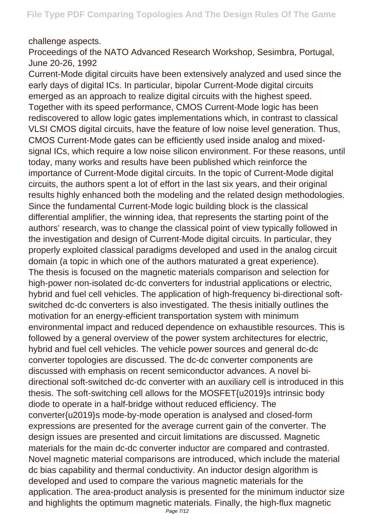## challenge aspects.

Proceedings of the NATO Advanced Research Workshop, Sesimbra, Portugal, June 20-26, 1992

Current-Mode digital circuits have been extensively analyzed and used since the early days of digital ICs. In particular, bipolar Current-Mode digital circuits emerged as an approach to realize digital circuits with the highest speed. Together with its speed performance, CMOS Current-Mode logic has been rediscovered to allow logic gates implementations which, in contrast to classical VLSI CMOS digital circuits, have the feature of low noise level generation. Thus, CMOS Current-Mode gates can be efficiently used inside analog and mixedsignal ICs, which require a low noise silicon environment. For these reasons, until today, many works and results have been published which reinforce the importance of Current-Mode digital circuits. In the topic of Current-Mode digital circuits, the authors spent a lot of effort in the last six years, and their original results highly enhanced both the modeling and the related design methodologies. Since the fundamental Current-Mode logic building block is the classical differential amplifier, the winning idea, that represents the starting point of the authors' research, was to change the classical point of view typically followed in the investigation and design of Current-Mode digital circuits. In particular, they properly exploited classical paradigms developed and used in the analog circuit domain (a topic in which one of the authors maturated a great experience). The thesis is focused on the magnetic materials comparison and selection for high-power non-isolated dc-dc converters for industrial applications or electric, hybrid and fuel cell vehicles. The application of high-frequency bi-directional softswitched dc-dc converters is also investigated. The thesis initially outlines the motivation for an energy-efficient transportation system with minimum environmental impact and reduced dependence on exhaustible resources. This is followed by a general overview of the power system architectures for electric, hybrid and fuel cell vehicles. The vehicle power sources and general dc-dc converter topologies are discussed. The dc-dc converter components are discussed with emphasis on recent semiconductor advances. A novel bidirectional soft-switched dc-dc converter with an auxiliary cell is introduced in this thesis. The soft-switching cell allows for the MOSFET{u2019}s intrinsic body diode to operate in a half-bridge without reduced efficiency. The converter{u2019}s mode-by-mode operation is analysed and closed-form expressions are presented for the average current gain of the converter. The design issues are presented and circuit limitations are discussed. Magnetic materials for the main dc-dc converter inductor are compared and contrasted. Novel magnetic material comparisons are introduced, which include the material dc bias capability and thermal conductivity. An inductor design algorithm is developed and used to compare the various magnetic materials for the application. The area-product analysis is presented for the minimum inductor size and highlights the optimum magnetic materials. Finally, the high-flux magnetic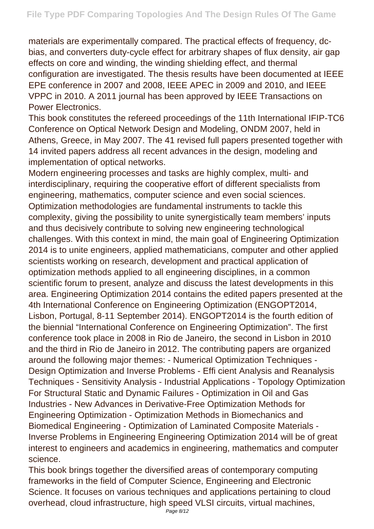materials are experimentally compared. The practical effects of frequency, dcbias, and converters duty-cycle effect for arbitrary shapes of flux density, air gap effects on core and winding, the winding shielding effect, and thermal configuration are investigated. The thesis results have been documented at IEEE EPE conference in 2007 and 2008, IEEE APEC in 2009 and 2010, and IEEE VPPC in 2010. A 2011 journal has been approved by IEEE Transactions on Power Electronics.

This book constitutes the refereed proceedings of the 11th International IFIP-TC6 Conference on Optical Network Design and Modeling, ONDM 2007, held in Athens, Greece, in May 2007. The 41 revised full papers presented together with 14 invited papers address all recent advances in the design, modeling and implementation of optical networks.

Modern engineering processes and tasks are highly complex, multi- and interdisciplinary, requiring the cooperative effort of different specialists from engineering, mathematics, computer science and even social sciences. Optimization methodologies are fundamental instruments to tackle this complexity, giving the possibility to unite synergistically team members' inputs and thus decisively contribute to solving new engineering technological challenges. With this context in mind, the main goal of Engineering Optimization 2014 is to unite engineers, applied mathematicians, computer and other applied scientists working on research, development and practical application of optimization methods applied to all engineering disciplines, in a common scientific forum to present, analyze and discuss the latest developments in this area. Engineering Optimization 2014 contains the edited papers presented at the 4th International Conference on Engineering Optimization (ENGOPT2014, Lisbon, Portugal, 8-11 September 2014). ENGOPT2014 is the fourth edition of the biennial "International Conference on Engineering Optimization". The first conference took place in 2008 in Rio de Janeiro, the second in Lisbon in 2010 and the third in Rio de Janeiro in 2012. The contributing papers are organized around the following major themes: - Numerical Optimization Techniques - Design Optimization and Inverse Problems - Effi cient Analysis and Reanalysis Techniques - Sensitivity Analysis - Industrial Applications - Topology Optimization For Structural Static and Dynamic Failures - Optimization in Oil and Gas Industries - New Advances in Derivative-Free Optimization Methods for Engineering Optimization - Optimization Methods in Biomechanics and Biomedical Engineering - Optimization of Laminated Composite Materials - Inverse Problems in Engineering Engineering Optimization 2014 will be of great interest to engineers and academics in engineering, mathematics and computer science.

This book brings together the diversified areas of contemporary computing frameworks in the field of Computer Science, Engineering and Electronic Science. It focuses on various techniques and applications pertaining to cloud overhead, cloud infrastructure, high speed VLSI circuits, virtual machines, Page 8/12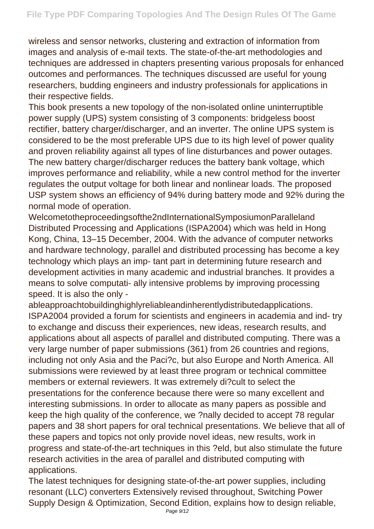wireless and sensor networks, clustering and extraction of information from images and analysis of e-mail texts. The state-of-the-art methodologies and techniques are addressed in chapters presenting various proposals for enhanced outcomes and performances. The techniques discussed are useful for young researchers, budding engineers and industry professionals for applications in their respective fields.

This book presents a new topology of the non-isolated online uninterruptible power supply (UPS) system consisting of 3 components: bridgeless boost rectifier, battery charger/discharger, and an inverter. The online UPS system is considered to be the most preferable UPS due to its high level of power quality and proven reliability against all types of line disturbances and power outages. The new battery charger/discharger reduces the battery bank voltage, which improves performance and reliability, while a new control method for the inverter regulates the output voltage for both linear and nonlinear loads. The proposed USP system shows an efficiency of 94% during battery mode and 92% during the normal mode of operation.

Welcometotheproceedingsofthe2ndInternationalSymposiumonParalleland Distributed Processing and Applications (ISPA2004) which was held in Hong Kong, China, 13–15 December, 2004. With the advance of computer networks and hardware technology, parallel and distributed processing has become a key technology which plays an imp- tant part in determining future research and development activities in many academic and industrial branches. It provides a means to solve computati- ally intensive problems by improving processing speed. It is also the only -

ableapproachtobuildinghighlyreliableandinherentlydistributedapplications. ISPA2004 provided a forum for scientists and engineers in academia and ind- try to exchange and discuss their experiences, new ideas, research results, and applications about all aspects of parallel and distributed computing. There was a very large number of paper submissions (361) from 26 countries and regions, including not only Asia and the Paci?c, but also Europe and North America. All submissions were reviewed by at least three program or technical committee members or external reviewers. It was extremely di?cult to select the presentations for the conference because there were so many excellent and interesting submissions. In order to allocate as many papers as possible and keep the high quality of the conference, we ?nally decided to accept 78 regular papers and 38 short papers for oral technical presentations. We believe that all of these papers and topics not only provide novel ideas, new results, work in progress and state-of-the-art techniques in this ?eld, but also stimulate the future research activities in the area of parallel and distributed computing with applications.

The latest techniques for designing state-of-the-art power supplies, including resonant (LLC) converters Extensively revised throughout, Switching Power Supply Design & Optimization, Second Edition, explains how to design reliable,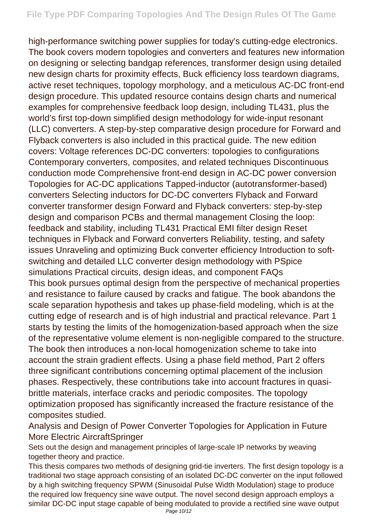high-performance switching power supplies for today's cutting-edge electronics. The book covers modern topologies and converters and features new information on designing or selecting bandgap references, transformer design using detailed new design charts for proximity effects, Buck efficiency loss teardown diagrams, active reset techniques, topology morphology, and a meticulous AC-DC front-end design procedure. This updated resource contains design charts and numerical examples for comprehensive feedback loop design, including TL431, plus the world's first top-down simplified design methodology for wide-input resonant (LLC) converters. A step-by-step comparative design procedure for Forward and Flyback converters is also included in this practical guide. The new edition covers: Voltage references DC-DC converters: topologies to configurations Contemporary converters, composites, and related techniques Discontinuous conduction mode Comprehensive front-end design in AC-DC power conversion Topologies for AC-DC applications Tapped-inductor (autotransformer-based) converters Selecting inductors for DC-DC converters Flyback and Forward converter transformer design Forward and Flyback converters: step-by-step design and comparison PCBs and thermal management Closing the loop: feedback and stability, including TL431 Practical EMI filter design Reset techniques in Flyback and Forward converters Reliability, testing, and safety issues Unraveling and optimizing Buck converter efficiency Introduction to softswitching and detailed LLC converter design methodology with PSpice simulations Practical circuits, design ideas, and component FAQs This book pursues optimal design from the perspective of mechanical properties and resistance to failure caused by cracks and fatigue. The book abandons the scale separation hypothesis and takes up phase-field modeling, which is at the cutting edge of research and is of high industrial and practical relevance. Part 1 starts by testing the limits of the homogenization-based approach when the size of the representative volume element is non-negligible compared to the structure. The book then introduces a non-local homogenization scheme to take into account the strain gradient effects. Using a phase field method, Part 2 offers three significant contributions concerning optimal placement of the inclusion phases. Respectively, these contributions take into account fractures in quasibrittle materials, interface cracks and periodic composites. The topology optimization proposed has significantly increased the fracture resistance of the composites studied.

Analysis and Design of Power Converter Topologies for Application in Future More Electric AircraftSpringer

Sets out the design and management principles of large-scale IP networks by weaving together theory and practice.

This thesis compares two methods of designing grid-tie inverters. The first design topology is a traditional two stage approach consisting of an isolated DC-DC converter on the input followed by a high switching frequency SPWM (Sinusoidal Pulse Width Modulation) stage to produce the required low frequency sine wave output. The novel second design approach employs a similar DC-DC input stage capable of being modulated to provide a rectified sine wave output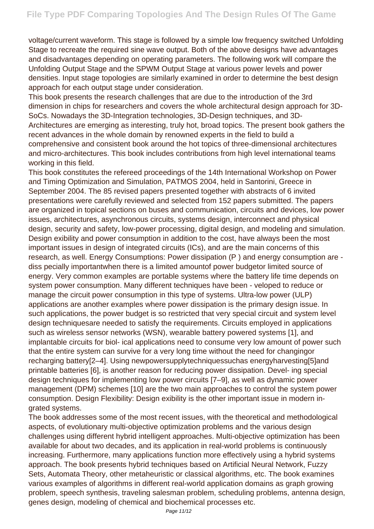voltage/current waveform. This stage is followed by a simple low frequency switched Unfolding Stage to recreate the required sine wave output. Both of the above designs have advantages and disadvantages depending on operating parameters. The following work will compare the Unfolding Output Stage and the SPWM Output Stage at various power levels and power densities. Input stage topologies are similarly examined in order to determine the best design approach for each output stage under consideration.

This book presents the research challenges that are due to the introduction of the 3rd dimension in chips for researchers and covers the whole architectural design approach for 3D-SoCs. Nowadays the 3D-Integration technologies, 3D-Design techniques, and 3D-Architectures are emerging as interesting, truly hot, broad topics. The present book gathers the recent advances in the whole domain by renowned experts in the field to build a comprehensive and consistent book around the hot topics of three-dimensional architectures and micro-architectures. This book includes contributions from high level international teams working in this field.

This book constitutes the refereed proceedings of the 14th International Workshop on Power and Timing Optimization and Simulation, PATMOS 2004, held in Santorini, Greece in September 2004. The 85 revised papers presented together with abstracts of 6 invited presentations were carefully reviewed and selected from 152 papers submitted. The papers are organized in topical sections on buses and communication, circuits and devices, low power issues, architectures, asynchronous circuits, systems design, interconnect and physical design, security and safety, low-power processing, digital design, and modeling and simulation. Design exibility and power consumption in addition to the cost, have always been the most important issues in design of integrated circuits (ICs), and are the main concerns of this research, as well. Energy Consumptions: Power dissipation (P ) and energy consumption are diss pecially importantwhen there is a limited amountof power budgetor limited source of energy. Very common examples are portable systems where the battery life time depends on system power consumption. Many different techniques have been - veloped to reduce or manage the circuit power consumption in this type of systems. Ultra-low power (ULP) applications are another examples where power dissipation is the primary design issue. In such applications, the power budget is so restricted that very special circuit and system level design techniquesare needed to satisfy the requirements. Circuits employed in applications such as wireless sensor networks (WSN), wearable battery powered systems [1], and implantable circuits for biol- ical applications need to consume very low amount of power such that the entire system can survive for a very long time without the need for changingor recharging battery[2–4]. Using newpowersupplytechniquessuchas energyharvesting[5]and printable batteries [6], is another reason for reducing power dissipation. Devel- ing special design techniques for implementing low power circuits [7–9], as well as dynamic power management (DPM) schemes [10] are the two main approaches to control the system power consumption. Design Flexibility: Design exibility is the other important issue in modern ingrated systems.

The book addresses some of the most recent issues, with the theoretical and methodological aspects, of evolutionary multi-objective optimization problems and the various design challenges using different hybrid intelligent approaches. Multi-objective optimization has been available for about two decades, and its application in real-world problems is continuously increasing. Furthermore, many applications function more effectively using a hybrid systems approach. The book presents hybrid techniques based on Artificial Neural Network, Fuzzy Sets, Automata Theory, other metaheuristic or classical algorithms, etc. The book examines various examples of algorithms in different real-world application domains as graph growing problem, speech synthesis, traveling salesman problem, scheduling problems, antenna design, genes design, modeling of chemical and biochemical processes etc.